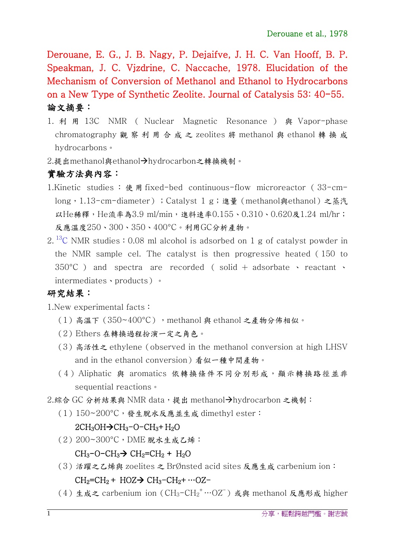Derouane, E. G., J. B. Nagy, P. Dejaifve, J. H. C. Van Hooff, B. P. Speakman, J. C. Vjzdrine, C. Naccache, 1978. Elucidation of the Mechanism of Conversion of Methanol and Ethanol to Hydrocarbons on a New Type of Synthetic Zeolite. Journal of Catalysis 53: 40-55. 論文摘要:

- 1. 利 用 13C NMR ( Nuclear Magnetic Resonance ) 與 Vapor-phase chromatography 觀察利用合成之 zeolites 將 methanol 與 ethanol 轉換成 hydrocarbons。
- 2.提出methanol與ethanol->hydrocarbon之轉換機制。

## 實驗方法與內容:

- 1. Kinetic studies : 使 用 fixed-bed continuous-flow microreactor (33-cmlong, 1.13-cm-diameter); Catalyst 1 g;進量(methanol與ethanol)之蒸汽 以He稀釋, He流率為3.9 ml/min, 進料速率0.155、0.310、0.620及1.24 ml/hr; 反應溫度250、300、350、400°C。利用GC分析產物。
- 2.<sup>13</sup>C NMR studies: 0.08 ml alcohol is adsorbed on 1 g of catalyst powder in the NMR sample cel. The catalyst is then progressive heated(150 to  $350^{\circ}$ C ) and spectra are recorded ( solid + adsorbate  $\cdot$  reactant  $\cdot$ intermediates、products)。

## 研究結果:

1.New experimental facts:

- (1)高溫下(350~400°C),methanol 與 ethanol 之產物分佈相似。
- (2)Ethers 在轉換過程扮演一定之角色。
- (3) 高活性之 ethylene (observed in the methanol conversion at high LHSV and in the ethanol conversion)看似一種中間產物。
- (4) Aliphatic 與 aromatics 依轉換條件不同分別形成,顯示轉換路徑並非 sequential reactions。

2.綜合 GC 分析結果與 NMR data,提出 methanol->hydrocarbon 之機制:

(1)150~200°C,發生脫水反應並生成 dimethyl ester:

## $2CH<sub>3</sub>OH \rightarrow CH<sub>3</sub>-O-CH<sub>3</sub>+H<sub>2</sub>O$

(2)200~300°C,DME 脫水生成乙烯:

### $CH<sub>3</sub>-O-CH<sub>3</sub>$  $\rightarrow$   $CH<sub>2</sub>=CH<sub>2</sub> + H<sub>2</sub>O$

- (3)活躍之乙烯與 zoelites 之 BrØnsted acid sites 反應生成 carbenium ion:  $CH_2=CH_2 + HOZ \rightarrow CH_3-CH_2+ \cdots OZ-$
- (4) 生成之 carbenium ion ( $CH_3$ - $CH_2$ <sup>+</sup>…OZ<sup>-</sup>) 或與 methanol 反應形成 higher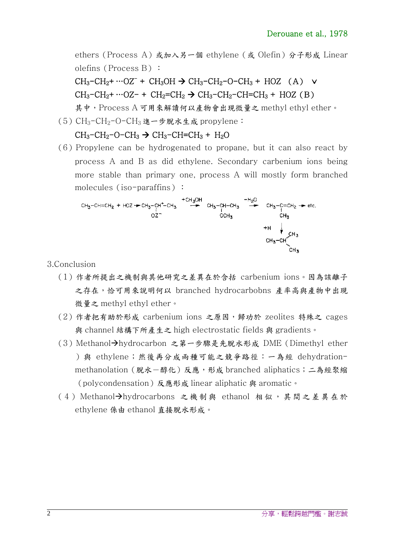ethers (Process A) 或加入另一個 ethylene (或 Olefin)分子形成 Linear olefins (Process B) :

# $CH_3-CH_2+\cdots OZ^-$  +  $CH_3OH \rightarrow CH_3-CH_2-O-CH_3 + HOZ$  (A)  $\vee$  $CH_3-CH_2+$  …OZ- +  $CH_2=CH_2 \rightarrow CH_3-CH_2-CH=CH_3 + HOZ(B)$

其中,Process A 可用來解讀何以產物會出現微量之 methyl ethyl ether。

 $(5)$  CH<sub>3</sub>-CH<sub>2</sub>-O-CH<sub>3</sub> 進一步脫水生成 propylene:

$$
CH_3-CH_2-O-CH_3 \rightarrow CH_3-CH=CH_3 + H_2O
$$

 $(6)$  Propylene can be hydrogenated to propane, but it can also react by process A and B as did ethylene. Secondary carbenium ions being more stable than primary one, process A will mostly form branched molecules (iso-paraffins):

$$
CH_{3}-CH=CH_{2} + HOZ \rightarrow CH_{3}-CH^{+}-CH_{3} + CH_{3}OH \rightarrow CH_{3}-CH-CH_{3} \rightarrow CH_{3}-CH_{2} \rightarrow etc.
$$
\n
$$
OZ^{-} \rightarrow CH_{3} - CH_{3} + H \rightarrow CH_{3} + H \rightarrow CH_{3} + H \rightarrow CH_{3} + H \rightarrow CH_{3} + H \rightarrow CH_{3} + H \rightarrow CH_{3} + H \rightarrow CH_{3} + H \rightarrow CH_{3} + H \rightarrow CH_{3} + H \rightarrow CH_{3} + H \rightarrow CH_{3} + H \rightarrow CH_{3} + H \rightarrow CH_{3} + H \rightarrow CH_{3} + H \rightarrow CH_{3} + H \rightarrow CH_{3} + H \rightarrow CH_{3} + H \rightarrow CH_{3} + H \rightarrow CH_{3} + H \rightarrow CH_{3} + H \rightarrow CH_{3} + H \rightarrow CH_{3} + H \rightarrow CH_{3} + H \rightarrow CH_{3} + H \rightarrow CH_{3} + H \rightarrow CH_{3} + H \rightarrow CH_{3} + H \rightarrow CH_{3} + H \rightarrow CH_{3} + H \rightarrow CH_{3} + H \rightarrow CH_{3} + H \rightarrow CH_{3} + H \rightarrow CH_{3} + H \rightarrow CH_{3} + H \rightarrow CH_{3} + H \rightarrow CH_{3} + H \rightarrow CH_{3} + H \rightarrow CH_{3} + H \rightarrow CH_{3} + H \rightarrow CH_{3} + H \rightarrow CH_{3} + H \rightarrow CH_{3} + H \rightarrow CH_{3} + H \rightarrow CH_{3} + H \rightarrow CH_{3} + H \rightarrow CH_{3} + H \rightarrow CH_{3} + H \rightarrow CH_{3} + H \rightarrow CH_{3} + H \rightarrow CH_{3} + H \rightarrow CH_{3} + H \rightarrow CH_{3} + H \rightarrow CH_{3} + H \rightarrow CH_{3} + H \rightarrow CH_{3} + H \rightarrow CH_{3} + H \rightarrow CH_{3} + H \rightarrow CH_{3} + H \rightarrow CH_{3} + H \rightarrow CH_{3} + H \rightarrow CH_{3} + H \rightarrow CH_{3} + H \rightarrow CH_{3} + H \rightarrow CH_{3} + H \rightarrow CH_{3} + H \rightarrow CH_{3} + H \rightarrow CH_{3} + H \rightarrow CH_{3} + H \rightarrow CH_{3} + H \rightarrow CH_{3} + H \rightarrow CH_{3} + H \rightarrow CH_{3} + H \rightarrow CH_{3} + H \rightarrow CH_{3} + H \rightarrow CH_{3} + H \rightarrow CH_{3} + H \rightarrow CH_{3} + H \rightarrow CH_{3} + H \rightarrow CH_{3} + H \rightarrow CH_{3} + H \rightarrow CH_{3} + H \rightarrow CH_{3} + H \rightarrow CH_{3} + H \rightarrow CH_{3} + H \rightarrow
$$

3.Conclusion

- (1)作者所提出之機制與其他研究之差異在於含括 carbenium ions。因為該離子 之存在,恰可用來說明何以 branched hydrocarbobns 產率高與產物中出現 微量之 methyl ethyl ether。
- (2)作者把有助於形成 carbenium ions 之原因,歸功於 zeolites 特殊之 cages 與 channel 結構下所產生之 high electrostatic fields 與 gradients。
- (3) Methanol→hydrocarbon 之第一步驟是先脫水形成 DME (Dimethyl ether )與 ethylene;然後再分成兩種可能之競爭路徑:一為經 dehydrationmethanolation (脫水一醇化)反應,形成 branched aliphatics;二為經聚縮 (polycondensation)反應形成 linear aliphatic 與 aromatic。
- (4) Methanol→hydrocarbons 之機制與 ethanol 相似,其間之差異在於 ethylene 係由 ethanol 直接脫水形成。